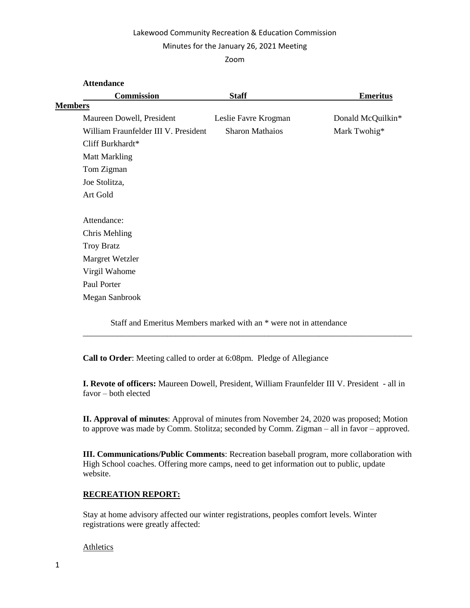## Lakewood Community Recreation & Education Commission

### Minutes for the January 26, 2021 Meeting

Zoom

| <b>Attendance</b>                    |                        |                   |
|--------------------------------------|------------------------|-------------------|
| <b>Commission</b>                    | <b>Staff</b>           | <b>Emeritus</b>   |
| <b>Members</b>                       |                        |                   |
| Maureen Dowell, President            | Leslie Favre Krogman   | Donald McQuilkin* |
| William Fraunfelder III V. President | <b>Sharon Mathaios</b> | Mark Twohig*      |
| Cliff Burkhardt*                     |                        |                   |
| <b>Matt Markling</b>                 |                        |                   |
| Tom Zigman                           |                        |                   |
| Joe Stolitza,                        |                        |                   |
| Art Gold                             |                        |                   |
| Attendance:                          |                        |                   |
| Chris Mehling                        |                        |                   |
| <b>Troy Bratz</b>                    |                        |                   |
| Margret Wetzler                      |                        |                   |
| Virgil Wahome                        |                        |                   |
| Paul Porter                          |                        |                   |
| Megan Sanbrook                       |                        |                   |
|                                      |                        |                   |

Staff and Emeritus Members marked with an \* were not in attendance

**Call to Order**: Meeting called to order at 6:08pm. Pledge of Allegiance

**I. Revote of officers:** Maureen Dowell, President, William Fraunfelder III V. President - all in favor – both elected

\_\_\_\_\_\_\_\_\_\_\_\_\_\_\_\_\_\_\_\_\_\_\_\_\_\_\_\_\_\_\_\_\_\_\_\_\_\_\_\_\_\_\_\_\_\_\_\_\_\_\_\_\_\_\_\_\_\_\_\_\_\_\_\_\_\_\_\_\_\_\_\_\_\_\_\_\_\_

**II. Approval of minutes**: Approval of minutes from November 24, 2020 was proposed; Motion to approve was made by Comm. Stolitza; seconded by Comm. Zigman – all in favor – approved.

**III. Communications/Public Comments**: Recreation baseball program, more collaboration with High School coaches. Offering more camps, need to get information out to public, update website.

# **RECREATION REPORT:**

Stay at home advisory affected our winter registrations, peoples comfort levels. Winter registrations were greatly affected:

## Athletics